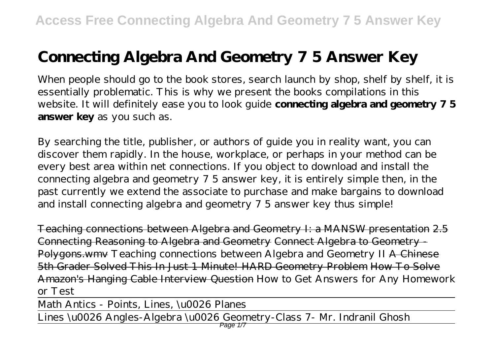## **Connecting Algebra And Geometry 7 5 Answer Key**

When people should go to the book stores, search launch by shop, shelf by shelf, it is essentially problematic. This is why we present the books compilations in this website. It will definitely ease you to look guide **connecting algebra and geometry 7 5 answer key** as you such as.

By searching the title, publisher, or authors of guide you in reality want, you can discover them rapidly. In the house, workplace, or perhaps in your method can be every best area within net connections. If you object to download and install the connecting algebra and geometry 7 5 answer key, it is entirely simple then, in the past currently we extend the associate to purchase and make bargains to download and install connecting algebra and geometry 7 5 answer key thus simple!

Teaching connections between Algebra and Geometry I: a MANSW presentation 2.5 Connecting Reasoning to Algebra and Geometry Connect Algebra to Geometry - Polygons.wmv *Teaching connections between Algebra and Geometry II* A Chinese 5th Grader Solved This In Just 1 Minute! HARD Geometry Problem How To Solve Amazon's Hanging Cable Interview Question *How to Get Answers for Any Homework or Test*

Math Antics - Points, Lines, \u0026 Planes

Lines \u0026 Angles-Algebra \u0026 Geometry-Class 7- Mr. Indranil Ghosh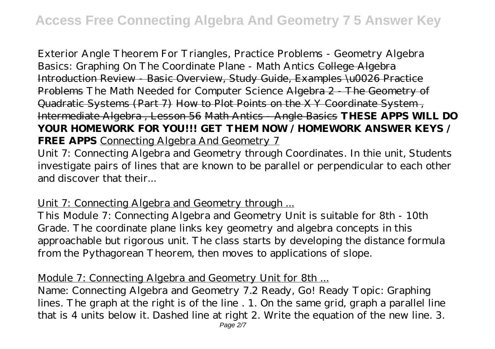Exterior Angle Theorem For Triangles, Practice Problems - Geometry Algebra Basics: Graphing On The Coordinate Plane - Math Antics College Algebra Introduction Review - Basic Overview, Study Guide, Examples \u0026 Practice Problems The Math Needed for Computer Science Algebra 2 - The Geometry of Quadratic Systems (Part 7) How to Plot Points on the X Y Coordinate System , Intermediate Algebra , Lesson 56 Math Antics - Angle Basics **THESE APPS WILL DO YOUR HOMEWORK FOR YOU!!! GET THEM NOW / HOMEWORK ANSWER KEYS / FREE APPS** Connecting Algebra And Geometry 7

Unit 7: Connecting Algebra and Geometry through Coordinates. In thie unit, Students investigate pairs of lines that are known to be parallel or perpendicular to each other and discover that their...

Unit 7: Connecting Algebra and Geometry through ...

This Module 7: Connecting Algebra and Geometry Unit is suitable for 8th - 10th Grade. The coordinate plane links key geometry and algebra concepts in this approachable but rigorous unit. The class starts by developing the distance formula from the Pythagorean Theorem, then moves to applications of slope.

Module 7: Connecting Algebra and Geometry Unit for 8th ...

Name: Connecting Algebra and Geometry 7.2 Ready, Go! Ready Topic: Graphing lines. The graph at the right is of the line . 1. On the same grid, graph a parallel line that is 4 units below it. Dashed line at right 2. Write the equation of the new line. 3.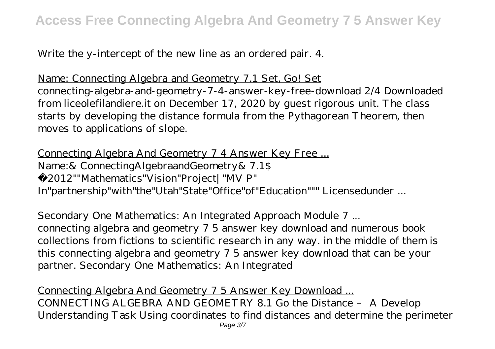Write the y-intercept of the new line as an ordered pair. 4.

Name: Connecting Algebra and Geometry 7.1 Set, Go! Set connecting-algebra-and-geometry-7-4-answer-key-free-download 2/4 Downloaded from liceolefilandiere.it on December 17, 2020 by guest rigorous unit. The class starts by developing the distance formula from the Pythagorean Theorem, then moves to applications of slope.

Connecting Algebra And Geometry 7 4 Answer Key Free ... Name:& ConnectingAlgebraandGeometry& 7.1\$ ©2012""Mathematics"Vision"Project|"MV P" In"partnership"with"the"Utah"State"Office"of"Education""" Licensedunder ...

Secondary One Mathematics: An Integrated Approach Module 7 ... connecting algebra and geometry 7 5 answer key download and numerous book collections from fictions to scientific research in any way. in the middle of them is this connecting algebra and geometry 7 5 answer key download that can be your partner. Secondary One Mathematics: An Integrated

Connecting Algebra And Geometry 7 5 Answer Key Download ... CONNECTING ALGEBRA AND GEOMETRY 8.1 Go the Distance – A Develop Understanding Task Using coordinates to find distances and determine the perimeter Page 3/7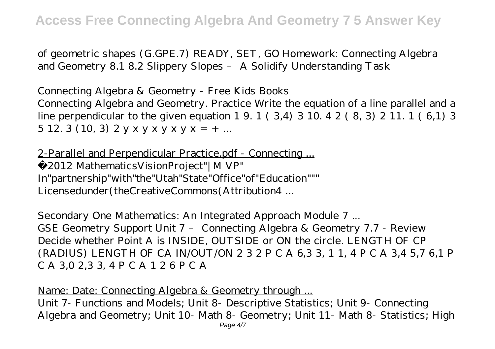of geometric shapes (G.GPE.7) READY, SET, GO Homework: Connecting Algebra and Geometry 8.1 8.2 Slippery Slopes – A Solidify Understanding Task

Connecting Algebra & Geometry - Free Kids Books

Connecting Algebra and Geometry. Practice Write the equation of a line parallel and a line perpendicular to the given equation 1 9. 1 ( 3,4) 3 10. 4 2 ( 8, 3) 2 11. 1 ( 6,1) 3 5 12. 3 (10, 3)  $2 y x y x y x y x y x = + ...$ 

2-Parallel and Perpendicular Practice.pdf - Connecting ... ©2012 MathematicsVisionProject"|M VP" In"partnership"with"the"Utah"State"Office"of"Education""" Licensedunder(theCreativeCommons(Attribution4 ...

Secondary One Mathematics: An Integrated Approach Module 7 ... GSE Geometry Support Unit 7 – Connecting Algebra & Geometry 7.7 - Review Decide whether Point A is INSIDE, OUTSIDE or ON the circle. LENGTH OF CP (RADIUS) LENGTH OF CA IN/OUT/ON 2 3 2 P C A 6,3 3, 1 1, 4 P C A 3,4 5,7 6,1 P C A 3,0 2,3 3, 4 P C A 1 2 6 P C A

Name: Date: Connecting Algebra & Geometry through ... Unit 7- Functions and Models; Unit 8- Descriptive Statistics; Unit 9- Connecting Algebra and Geometry; Unit 10- Math 8- Geometry; Unit 11- Math 8- Statistics; High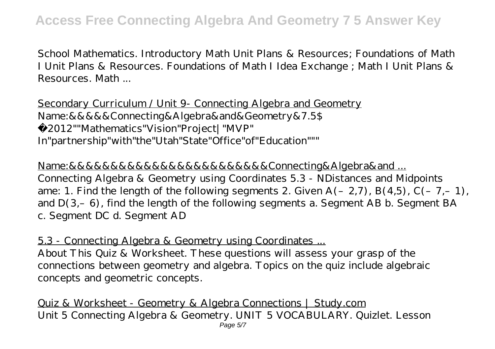School Mathematics. Introductory Math Unit Plans & Resources; Foundations of Math I Unit Plans & Resources. Foundations of Math I Idea Exchange ; Math I Unit Plans & Resources. Math ...

Secondary Curriculum / Unit 9- Connecting Algebra and Geometry Name:&&&&&Connecting&Algebra&and&Geometry&7.5\$ ©2012""Mathematics"Vision"Project|"MVP" In"partnership"with"the"Utah"State"Office"of"Education"""

Name:&&&&&&&&&&&&&&&&&&&&&&&&Connecting&Algebra&and ... Connecting Algebra & Geometry using Coordinates 5.3 - NDistances and Midpoints ame: 1. Find the length of the following segments 2. Given  $A(-2,7)$ ,  $B(4,5)$ ,  $C(-7,-1)$ , and  $D(3,-6)$ , find the length of the following segments a. Segment AB b. Segment BA c. Segment DC d. Segment AD

5.3 - Connecting Algebra & Geometry using Coordinates ...

About This Quiz & Worksheet. These questions will assess your grasp of the connections between geometry and algebra. Topics on the quiz include algebraic concepts and geometric concepts.

Quiz & Worksheet - Geometry & Algebra Connections | Study.com Unit 5 Connecting Algebra & Geometry. UNIT 5 VOCABULARY. Quizlet. Lesson Page 5/7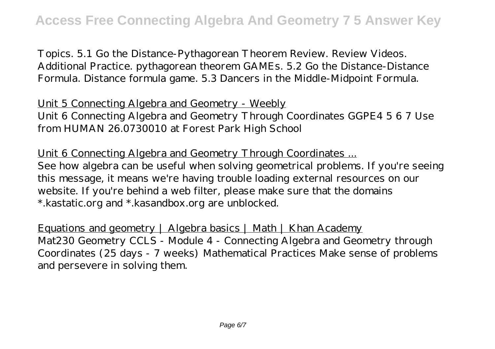Topics. 5.1 Go the Distance-Pythagorean Theorem Review. Review Videos. Additional Practice. pythagorean theorem GAMEs. 5.2 Go the Distance-Distance Formula. Distance formula game. 5.3 Dancers in the Middle-Midpoint Formula.

Unit 5 Connecting Algebra and Geometry - Weebly Unit 6 Connecting Algebra and Geometry Through Coordinates GGPE4 5 6 7 Use from HUMAN 26.0730010 at Forest Park High School

Unit 6 Connecting Algebra and Geometry Through Coordinates ... See how algebra can be useful when solving geometrical problems. If you're seeing this message, it means we're having trouble loading external resources on our website. If you're behind a web filter, please make sure that the domains \*.kastatic.org and \*.kasandbox.org are unblocked.

Equations and geometry | Algebra basics | Math | Khan Academy Mat230 Geometry CCLS - Module 4 - Connecting Algebra and Geometry through Coordinates (25 days - 7 weeks) Mathematical Practices Make sense of problems and persevere in solving them.